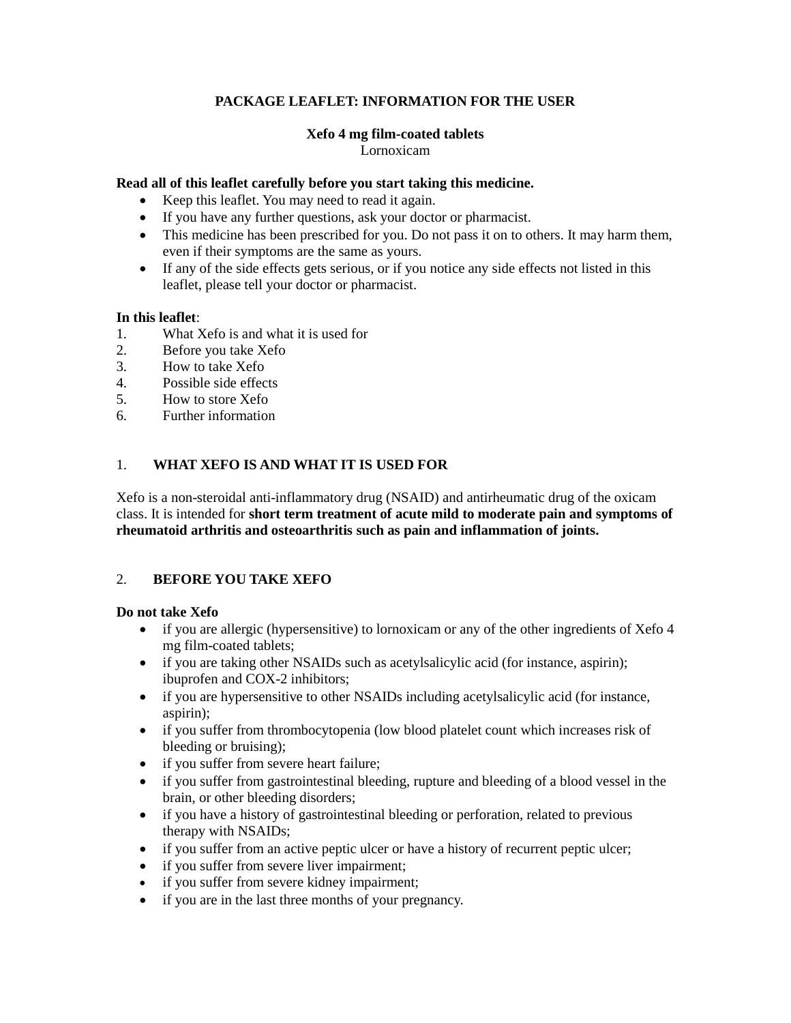## **PACKAGE LEAFLET: INFORMATION FOR THE USER**

#### **Xefo 4 mg film-coated tablets** Lornoxicam

## **Read all of this leaflet carefully before you start taking this medicine.**

- Keep this leaflet. You may need to read it again.
- If you have any further questions, ask your doctor or pharmacist.
- This medicine has been prescribed for you. Do not pass it on to others. It may harm them, even if their symptoms are the same as yours.
- If any of the side effects gets serious, or if you notice any side effects not listed in this leaflet, please tell your doctor or pharmacist.

#### **In this leaflet**:

- 1. What Xefo is and what it is used for
- 2. Before you take Xefo
- 3. How to take Xefo
- 4. Possible side effects
- 5. How to store Xefo
- 6. Further information

## 1. **WHAT XEFO IS AND WHAT IT IS USED FOR**

Xefo is a non-steroidal anti-inflammatory drug (NSAID) and antirheumatic drug of the oxicam class. It is intended for **short term treatment of acute mild to moderate pain and symptoms of rheumatoid arthritis and osteoarthritis such as pain and inflammation of joints.**

## 2. **BEFORE YOU TAKE XEFO**

## **Do not take Xefo**

- if you are allergic (hypersensitive) to lornoxicam or any of the other ingredients of Xefo 4 mg film-coated tablets;
- if you are taking other NSAIDs such as acetylsalicylic acid (for instance, aspirin); ibuprofen and COX-2 inhibitors;
- if you are hypersensitive to other NSAIDs including acetylsalicylic acid (for instance, aspirin);
- if you suffer from thrombocytopenia (low blood platelet count which increases risk of bleeding or bruising);
- if you suffer from severe heart failure;
- if you suffer from gastrointestinal bleeding, rupture and bleeding of a blood vessel in the brain, or other bleeding disorders;
- if you have a history of gastrointestinal bleeding or perforation, related to previous therapy with NSAIDs;
- if you suffer from an active peptic ulcer or have a history of recurrent peptic ulcer;
- if you suffer from severe liver impairment;
- if you suffer from severe kidney impairment;
- if you are in the last three months of your pregnancy.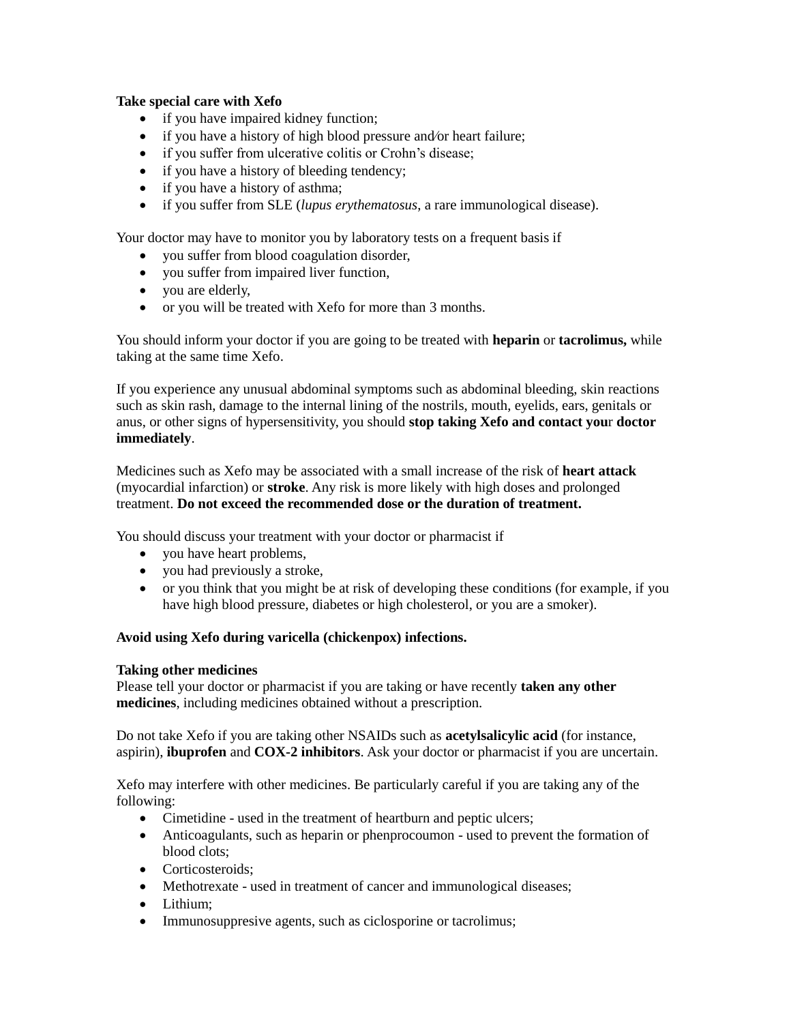## **Take special care with Xefo**

- if you have impaired kidney function;
- if you have a history of high blood pressure and/or heart failure;
- if you suffer from ulcerative colitis or Crohn's disease;
- if you have a history of bleeding tendency;
- if you have a history of asthma;
- if you suffer from SLE (*lupus erythematosus*, a rare immunological disease).

Your doctor may have to monitor you by laboratory tests on a frequent basis if

- you suffer from blood coagulation disorder,
- you suffer from impaired liver function,
- you are elderly,
- or you will be treated with Xefo for more than 3 months.

You should inform your doctor if you are going to be treated with **heparin** or **tacrolimus,** while taking at the same time Xefo.

If you experience any unusual abdominal symptoms such as abdominal bleeding, skin reactions such as skin rash, damage to the internal lining of the nostrils, mouth, eyelids, ears, genitals or anus, or other signs of hypersensitivity, you should **stop taking Xefo and contact you**r **doctor immediately**.

Medicines such as Xefo may be associated with a small increase of the risk of **heart attack** (myocardial infarction) or **stroke**. Any risk is more likely with high doses and prolonged treatment. **Do not exceed the recommended dose or the duration of treatment.**

You should discuss your treatment with your doctor or pharmacist if

- you have heart problems,
- you had previously a stroke,
- or you think that you might be at risk of developing these conditions (for example, if you have high blood pressure, diabetes or high cholesterol, or you are a smoker).

## **Avoid using Xefo during varicella (chickenpox) infections.**

## **Taking other medicines**

Please tell your doctor or pharmacist if you are taking or have recently **taken any other medicines**, including medicines obtained without a prescription.

Do not take Xefo if you are taking other NSAIDs such as **acetylsalicylic acid** (for instance, aspirin), **ibuprofen** and **COX-2 inhibitors**. Ask your doctor or pharmacist if you are uncertain.

Xefo may interfere with other medicines. Be particularly careful if you are taking any of the following:

- Cimetidine used in the treatment of heartburn and peptic ulcers;
- Anticoagulants, such as heparin or phenprocoumon used to prevent the formation of blood clots;
- Corticosteroids:
- Methotrexate used in treatment of cancer and immunological diseases;
- Lithium:
- Immunosuppresive agents, such as ciclosporine or tacrolimus;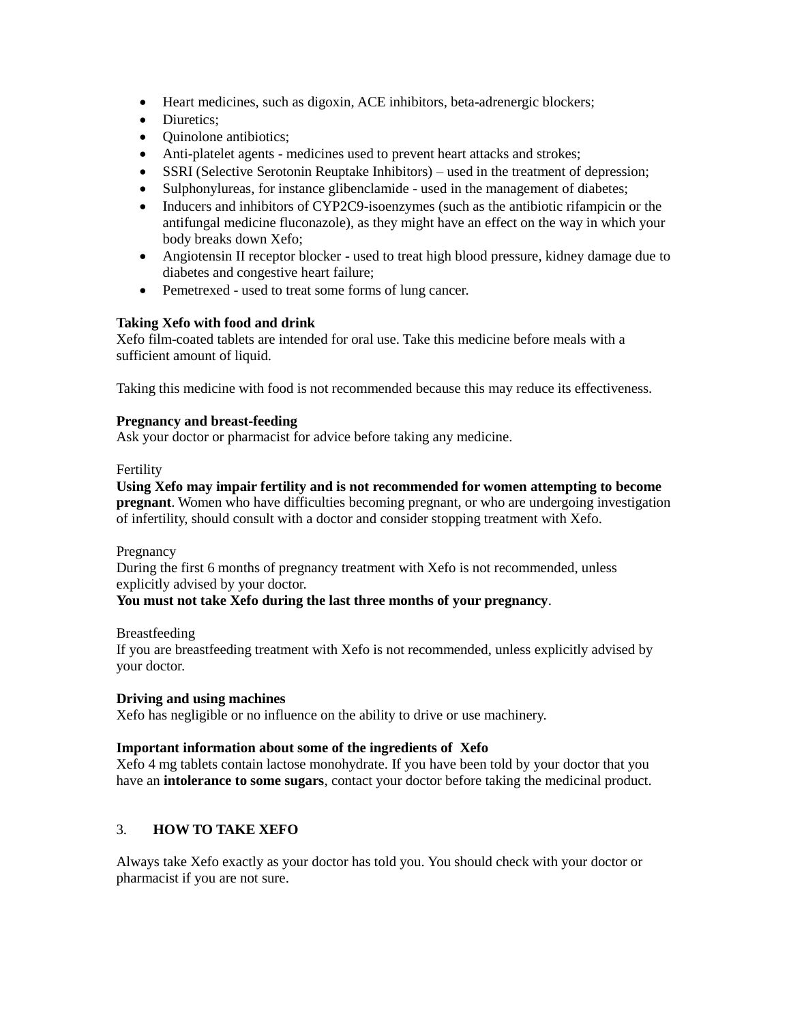- Heart medicines, such as digoxin, ACE inhibitors, beta-adrenergic blockers;
- Diuretics:
- Ouinolone antibiotics:
- Anti-platelet agents medicines used to prevent heart attacks and strokes;
- SSRI (Selective Serotonin Reuptake Inhibitors) used in the treatment of depression;
- Sulphonylureas, for instance glibenclamide used in the management of diabetes;
- Inducers and inhibitors of CYP2C9-isoenzymes (such as the antibiotic rifampicin or the antifungal medicine fluconazole), as they might have an effect on the way in which your body breaks down Xefo;
- Angiotensin II receptor blocker used to treat high blood pressure, kidney damage due to diabetes and congestive heart failure;
- Pemetrexed used to treat some forms of lung cancer.

## **Taking Xefo with food and drink**

Xefo film-coated tablets are intended for oral use. Take this medicine before meals with a sufficient amount of liquid.

Taking this medicine with food is not recommended because this may reduce its effectiveness.

## **Pregnancy and breast-feeding**

Ask your doctor or pharmacist for advice before taking any medicine.

#### Fertility

**Using Xefo may impair fertility and is not recommended for women attempting to become pregnant**. Women who have difficulties becoming pregnant, or who are undergoing investigation of infertility, should consult with a doctor and consider stopping treatment with Xefo.

Pregnancy

During the first 6 months of pregnancy treatment with Xefo is not recommended, unless explicitly advised by your doctor.

## **You must not take Xefo during the last three months of your pregnancy**.

Breastfeeding

If you are breastfeeding treatment with Xefo is not recommended, unless explicitly advised by your doctor.

## **Driving and using machines**

Xefo has negligible or no influence on the ability to drive or use machinery.

## **Important information about some of the ingredients of Xefo**

Xefo 4 mg tablets contain lactose monohydrate. If you have been told by your doctor that you have an **intolerance to some sugars**, contact your doctor before taking the medicinal product.

## 3. **HOW TO TAKE XEFO**

Always take Xefo exactly as your doctor has told you. You should check with your doctor or pharmacist if you are not sure.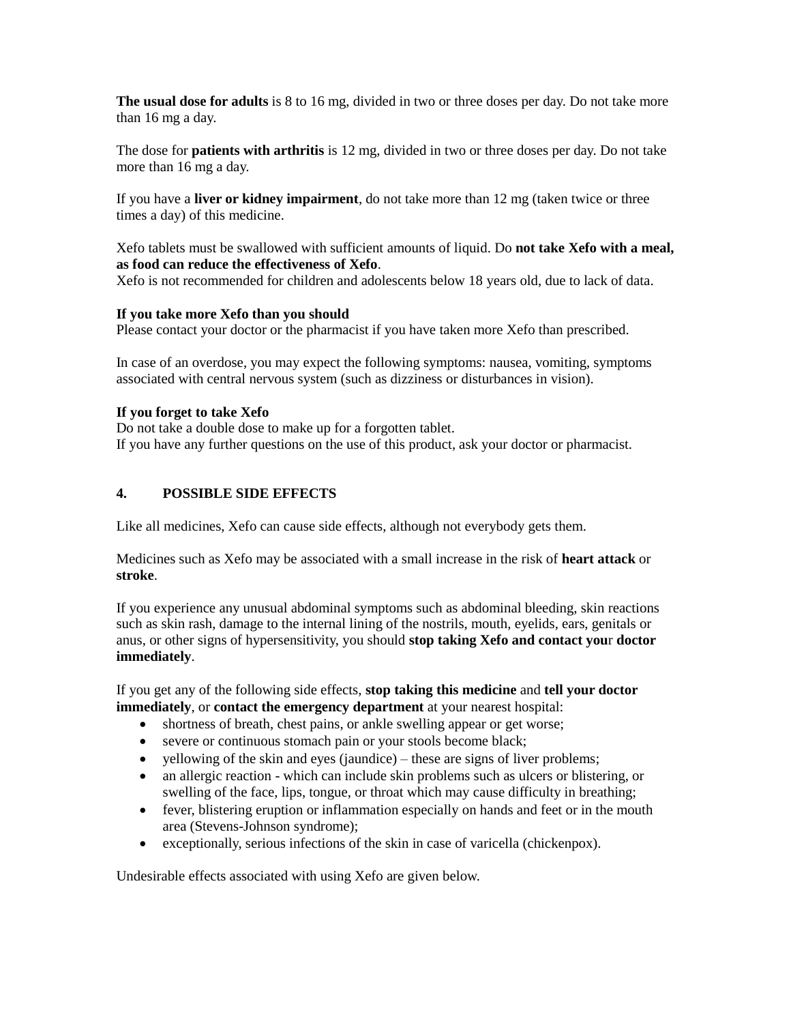**The usual dose for adults** is 8 to 16 mg, divided in two or three doses per day. Do not take more than 16 mg a day.

The dose for **patients with arthritis** is 12 mg, divided in two or three doses per day. Do not take more than 16 mg a day.

If you have a **liver or kidney impairment**, do not take more than 12 mg (taken twice or three times a day) of this medicine.

Xefo tablets must be swallowed with sufficient amounts of liquid. Do **not take Xefo with a meal, as food can reduce the effectiveness of Xefo**.

Xefo is not recommended for children and adolescents below 18 years old, due to lack of data.

#### **If you take more Xefo than you should**

Please contact your doctor or the pharmacist if you have taken more Xefo than prescribed.

In case of an overdose, you may expect the following symptoms: nausea, vomiting, symptoms associated with central nervous system (such as dizziness or disturbances in vision).

#### **If you forget to take Xefo**

Do not take a double dose to make up for a forgotten tablet. If you have any further questions on the use of this product, ask your doctor or pharmacist.

## **4. POSSIBLE SIDE EFFECTS**

Like all medicines, Xefo can cause side effects, although not everybody gets them.

Medicines such as Xefo may be associated with a small increase in the risk of **heart attack** or **stroke**.

If you experience any unusual abdominal symptoms such as abdominal bleeding, skin reactions such as skin rash, damage to the internal lining of the nostrils, mouth, eyelids, ears, genitals or anus, or other signs of hypersensitivity, you should **stop taking Xefo and contact you**r **doctor immediately**.

If you get any of the following side effects, **stop taking this medicine** and **tell your doctor immediately**, or **contact the emergency department** at your nearest hospital:

- shortness of breath, chest pains, or ankle swelling appear or get worse;
- severe or continuous stomach pain or your stools become black;
- yellowing of the skin and eyes (jaundice) these are signs of liver problems;
- an allergic reaction which can include skin problems such as ulcers or blistering, or swelling of the face, lips, tongue, or throat which may cause difficulty in breathing;
- fever, blistering eruption or inflammation especially on hands and feet or in the mouth area (Stevens-Johnson syndrome);
- exceptionally, serious infections of the skin in case of varicella (chickenpox).

Undesirable effects associated with using Xefo are given below.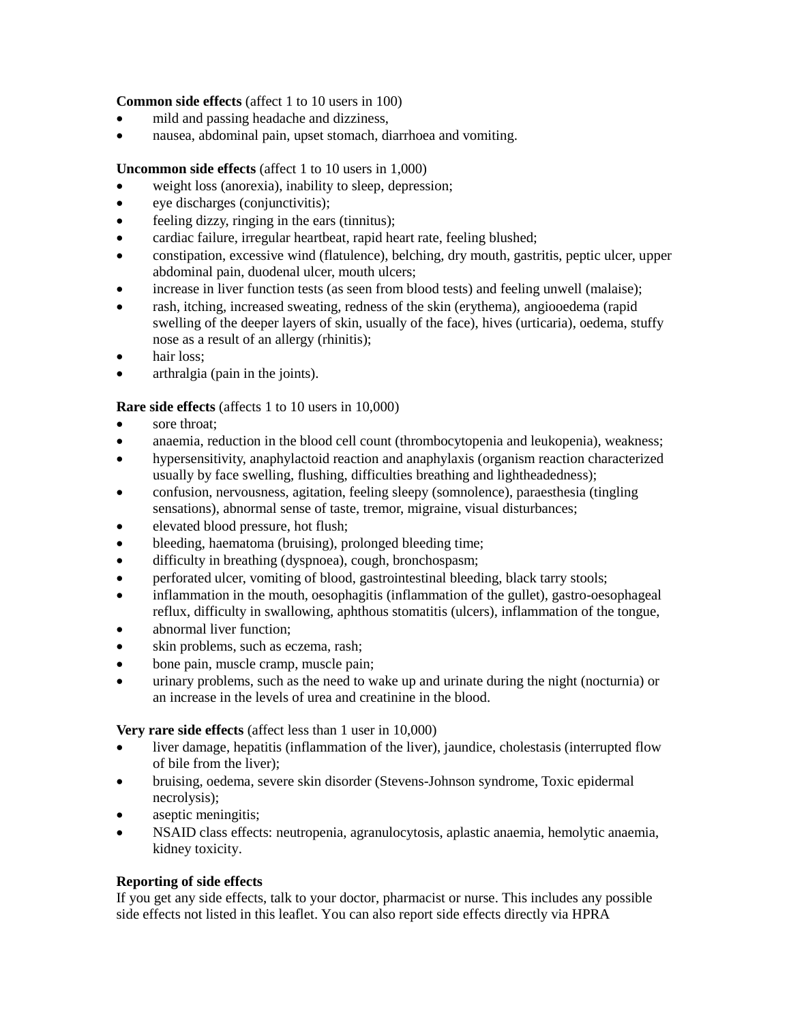## **Common side effects** (affect 1 to 10 users in 100)

- mild and passing headache and dizziness,
- nausea, abdominal pain, upset stomach, diarrhoea and vomiting.

## **Uncommon side effects** (affect 1 to 10 users in 1,000)

- weight loss (anorexia), inability to sleep, depression;
- eye discharges (conjunctivitis);
- feeling dizzy, ringing in the ears (tinnitus);
- cardiac failure, irregular heartbeat, rapid heart rate, feeling blushed;
- constipation, excessive wind (flatulence), belching, dry mouth, gastritis, peptic ulcer, upper abdominal pain, duodenal ulcer, mouth ulcers;
- increase in liver function tests (as seen from blood tests) and feeling unwell (malaise);
- rash, itching, increased sweating, redness of the skin (erythema), angiooedema (rapid swelling of the deeper layers of skin, usually of the face), hives (urticaria), oedema, stuffy nose as a result of an allergy (rhinitis);
- hair loss;
- arthralgia (pain in the joints).

## **Rare side effects** (affects 1 to 10 users in 10,000)

- sore throat;
- anaemia, reduction in the blood cell count (thrombocytopenia and leukopenia), weakness;
- hypersensitivity, anaphylactoid reaction and anaphylaxis (organism reaction characterized usually by face swelling, flushing, difficulties breathing and lightheadedness);
- confusion, nervousness, agitation, feeling sleepy (somnolence), paraesthesia (tingling sensations), abnormal sense of taste, tremor, migraine, visual disturbances;
- elevated blood pressure, hot flush;
- bleeding, haematoma (bruising), prolonged bleeding time;
- difficulty in breathing (dyspnoea), cough, bronchospasm;
- perforated ulcer, vomiting of blood, gastrointestinal bleeding, black tarry stools;
- inflammation in the mouth, oesophagitis (inflammation of the gullet), gastro-oesophageal reflux, difficulty in swallowing, aphthous stomatitis (ulcers), inflammation of the tongue,
- abnormal liver function;
- skin problems, such as eczema, rash;
- bone pain, muscle cramp, muscle pain;
- urinary problems, such as the need to wake up and urinate during the night (nocturnia) or an increase in the levels of urea and creatinine in the blood.

## **Very rare side effects** (affect less than 1 user in 10,000)

- liver damage, hepatitis (inflammation of the liver), jaundice, cholestasis (interrupted flow of bile from the liver);
- bruising, oedema, severe skin disorder (Stevens-Johnson syndrome, Toxic epidermal necrolysis);
- aseptic meningitis;
- NSAID class effects: neutropenia, agranulocytosis, aplastic anaemia, hemolytic anaemia, kidney toxicity.

## **Reporting of side effects**

If you get any side effects, talk to your doctor, pharmacist or nurse. This includes any possible side effects not listed in this leaflet. You can also report side effects directly via HPRA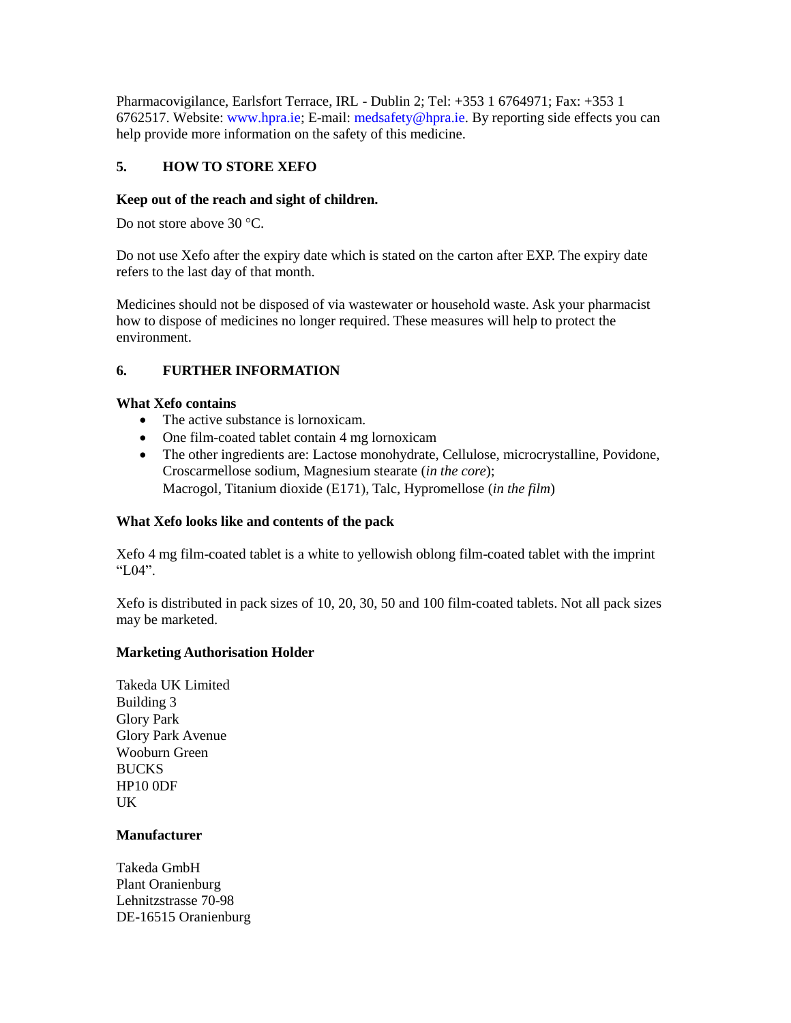Pharmacovigilance, Earlsfort Terrace, IRL - Dublin 2; Tel: +353 1 6764971; Fax: +353 1 6762517. Website: www.hpra.ie; E-mail: medsafety@hpra.ie. By reporting side effects you can help provide more information on the safety of this medicine.

# **5. HOW TO STORE XEFO**

## **Keep out of the reach and sight of children.**

Do not store above 30 °C.

Do not use Xefo after the expiry date which is stated on the carton after EXP. The expiry date refers to the last day of that month.

Medicines should not be disposed of via wastewater or household waste. Ask your pharmacist how to dispose of medicines no longer required. These measures will help to protect the environment.

## **6. FURTHER INFORMATION**

## **What Xefo contains**

- The active substance is lornoxicam.
- One film-coated tablet contain 4 mg lornoxicam
- The other ingredients are: Lactose monohydrate, Cellulose, microcrystalline, Povidone, Croscarmellose sodium, Magnesium stearate (*in the core*); Macrogol, Titanium dioxide (E171), Talc, Hypromellose (*in the film*)

## **What Xefo looks like and contents of the pack**

Xefo 4 mg film-coated tablet is a white to yellowish oblong film-coated tablet with the imprint "L04".

Xefo is distributed in pack sizes of 10, 20, 30, 50 and 100 film-coated tablets. Not all pack sizes may be marketed.

## **Marketing Authorisation Holder**

Takeda UK Limited Building 3 Glory Park Glory Park Avenue Wooburn Green **BUCKS** HP10 0DF UK

## **Manufacturer**

Takeda GmbH Plant Oranienburg Lehnitzstrasse 70-98 DE-16515 Oranienburg